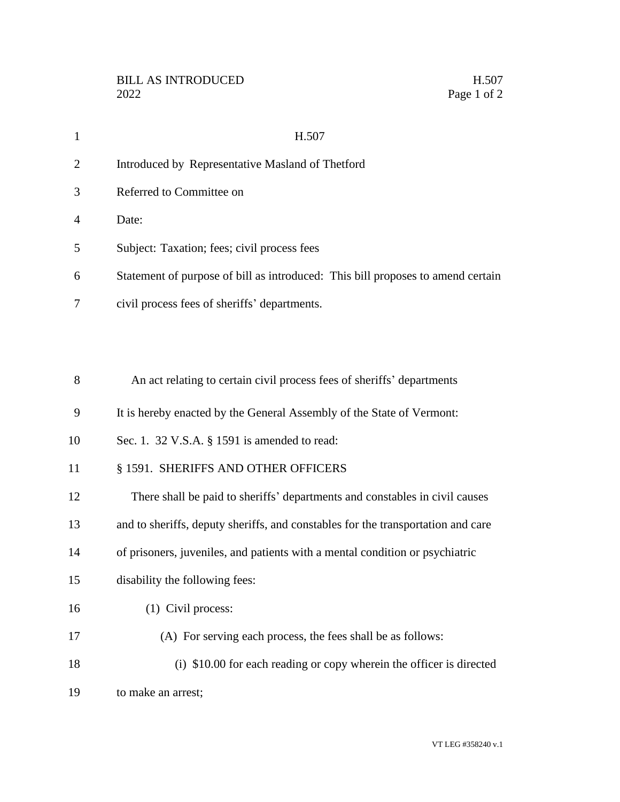| $\mathbf{1}$   | H.507                                                                            |
|----------------|----------------------------------------------------------------------------------|
| $\overline{2}$ | Introduced by Representative Masland of Thetford                                 |
| 3              | Referred to Committee on                                                         |
| 4              | Date:                                                                            |
| 5              | Subject: Taxation; fees; civil process fees                                      |
| 6              | Statement of purpose of bill as introduced: This bill proposes to amend certain  |
| 7              | civil process fees of sheriffs' departments.                                     |
|                |                                                                                  |
|                |                                                                                  |
| 8              | An act relating to certain civil process fees of sheriffs' departments           |
| 9              | It is hereby enacted by the General Assembly of the State of Vermont:            |
| 10             | Sec. 1. 32 V.S.A. § 1591 is amended to read:                                     |
| 11             | § 1591. SHERIFFS AND OTHER OFFICERS                                              |
| 12             | There shall be paid to sheriffs' departments and constables in civil causes      |
| 13             | and to sheriffs, deputy sheriffs, and constables for the transportation and care |

- of prisoners, juveniles, and patients with a mental condition or psychiatric
- disability the following fees:
- (1) Civil process:
- (A) For serving each process, the fees shall be as follows:
- (i) \$10.00 for each reading or copy wherein the officer is directed to make an arrest;